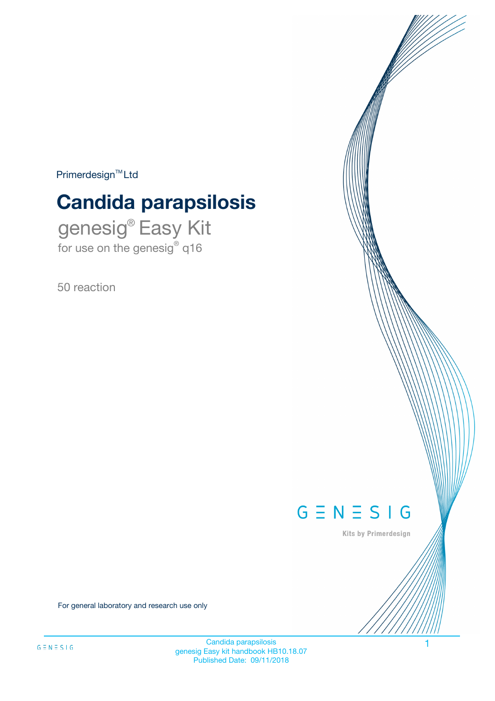$Primerdesign^{\text{TM}}Ltd$ 

# **Candida parapsilosis**

genesig® Easy Kit for use on the genesig® q16

50 reaction



Kits by Primerdesign

For general laboratory and research use only

Candida parapsilosis 1 genesig Easy kit handbook HB10.18.07 Published Date: 09/11/2018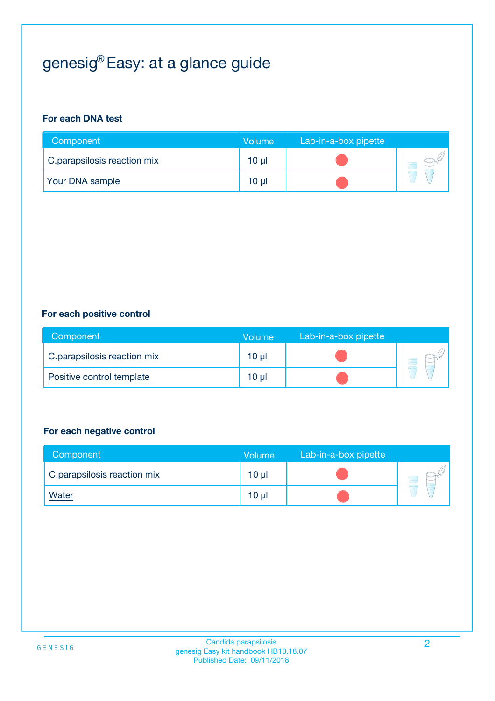# genesig® Easy: at a glance guide

#### **For each DNA test**

| Component                   | <b>Volume</b> | Lab-in-a-box pipette |  |
|-----------------------------|---------------|----------------------|--|
| C.parapsilosis reaction mix | 10 µl         |                      |  |
| <b>Your DNA sample</b>      | 10 µl         |                      |  |

#### **For each positive control**

| Component                   | Volume          | Lab-in-a-box pipette |  |
|-----------------------------|-----------------|----------------------|--|
| C.parapsilosis reaction mix | 10 <sub>µ</sub> |                      |  |
| Positive control template   | 10 <sub>µ</sub> |                      |  |

#### **For each negative control**

| Component                   | <b>Volume</b>   | Lab-in-a-box pipette |  |
|-----------------------------|-----------------|----------------------|--|
| C.parapsilosis reaction mix | $10 \mu$        |                      |  |
| <u>Water</u>                | 10 <sub>µ</sub> |                      |  |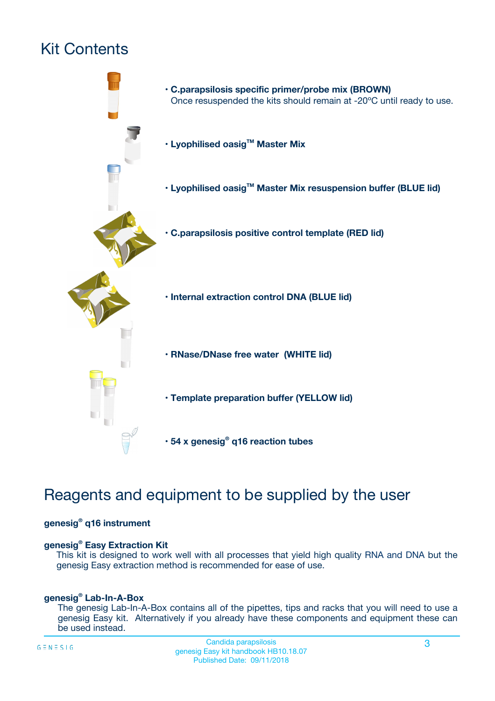# Kit Contents



## Reagents and equipment to be supplied by the user

#### **genesig® q16 instrument**

#### **genesig® Easy Extraction Kit**

This kit is designed to work well with all processes that yield high quality RNA and DNA but the genesig Easy extraction method is recommended for ease of use.

#### **genesig® Lab-In-A-Box**

The genesig Lab-In-A-Box contains all of the pipettes, tips and racks that you will need to use a genesig Easy kit. Alternatively if you already have these components and equipment these can be used instead.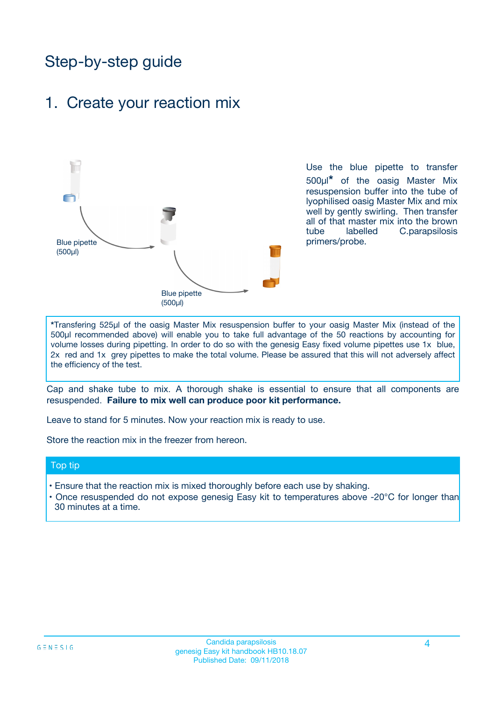## Step-by-step guide

### 1. Create your reaction mix



Use the blue pipette to transfer 500µl**\*** of the oasig Master Mix resuspension buffer into the tube of lyophilised oasig Master Mix and mix well by gently swirling. Then transfer all of that master mix into the brown tube labelled C.parapsilosis primers/probe.

**\***Transfering 525µl of the oasig Master Mix resuspension buffer to your oasig Master Mix (instead of the 500µl recommended above) will enable you to take full advantage of the 50 reactions by accounting for volume losses during pipetting. In order to do so with the genesig Easy fixed volume pipettes use 1x blue, 2x red and 1x grey pipettes to make the total volume. Please be assured that this will not adversely affect the efficiency of the test.

Cap and shake tube to mix. A thorough shake is essential to ensure that all components are resuspended. **Failure to mix well can produce poor kit performance.**

Leave to stand for 5 minutes. Now your reaction mix is ready to use.

Store the reaction mix in the freezer from hereon.

#### Top tip

- Ensure that the reaction mix is mixed thoroughly before each use by shaking.
- **•** Once resuspended do not expose genesig Easy kit to temperatures above -20°C for longer than 30 minutes at a time.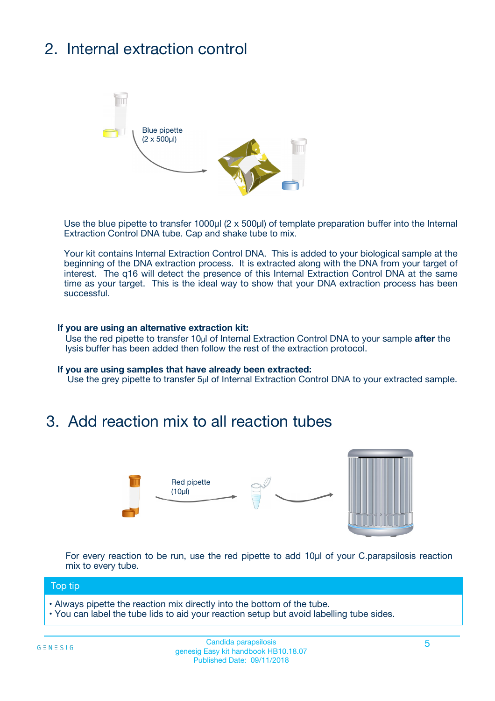# 2. Internal extraction control



Use the blue pipette to transfer 1000µl (2 x 500µl) of template preparation buffer into the Internal Extraction Control DNA tube. Cap and shake tube to mix.

Your kit contains Internal Extraction Control DNA. This is added to your biological sample at the beginning of the DNA extraction process. It is extracted along with the DNA from your target of interest. The q16 will detect the presence of this Internal Extraction Control DNA at the same time as your target. This is the ideal way to show that your DNA extraction process has been **successful.** 

#### **If you are using an alternative extraction kit:**

Use the red pipette to transfer 10µl of Internal Extraction Control DNA to your sample **after** the lysis buffer has been added then follow the rest of the extraction protocol.

#### **If you are using samples that have already been extracted:**

Use the grey pipette to transfer 5µl of Internal Extraction Control DNA to your extracted sample.

### 3. Add reaction mix to all reaction tubes



For every reaction to be run, use the red pipette to add 10µl of your C.parapsilosis reaction mix to every tube.

#### Top tip

- Always pipette the reaction mix directly into the bottom of the tube.
- You can label the tube lids to aid your reaction setup but avoid labelling tube sides.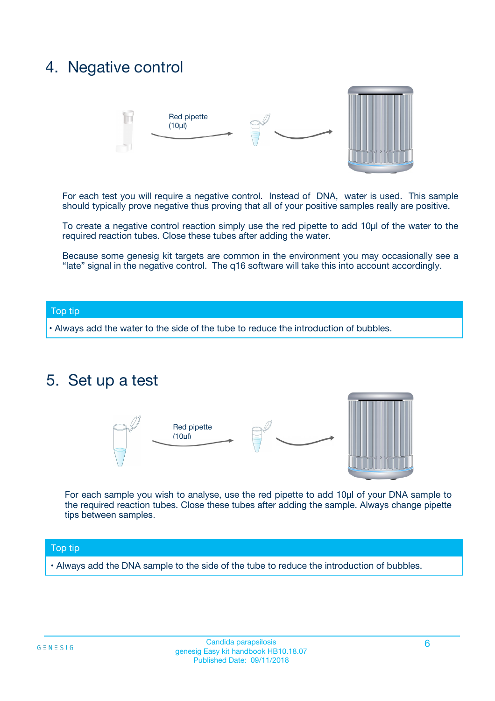### 4. Negative control



For each test you will require a negative control. Instead of DNA, water is used. This sample should typically prove negative thus proving that all of your positive samples really are positive.

To create a negative control reaction simply use the red pipette to add 10µl of the water to the required reaction tubes. Close these tubes after adding the water.

Because some genesig kit targets are common in the environment you may occasionally see a "late" signal in the negative control. The q16 software will take this into account accordingly.

#### Top tip

**•** Always add the water to the side of the tube to reduce the introduction of bubbles.

### 5. Set up a test



For each sample you wish to analyse, use the red pipette to add 10µl of your DNA sample to the required reaction tubes. Close these tubes after adding the sample. Always change pipette tips between samples.

#### Top tip

**•** Always add the DNA sample to the side of the tube to reduce the introduction of bubbles.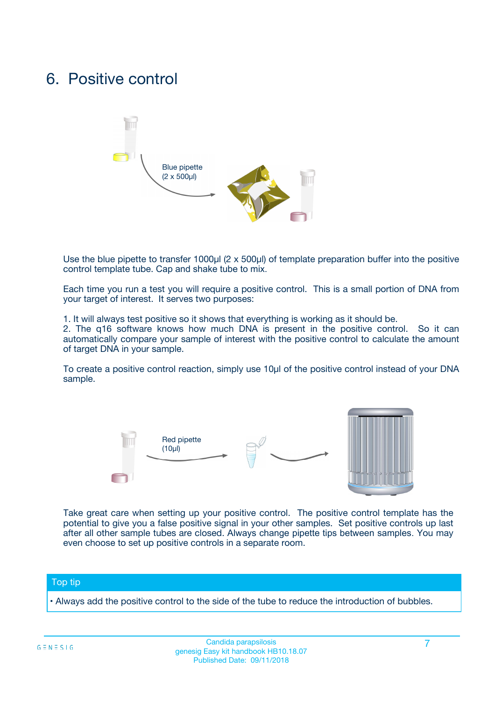### 6. Positive control



Use the blue pipette to transfer 1000µl (2 x 500µl) of template preparation buffer into the positive control template tube. Cap and shake tube to mix.

Each time you run a test you will require a positive control. This is a small portion of DNA from your target of interest. It serves two purposes:

1. It will always test positive so it shows that everything is working as it should be.

2. The q16 software knows how much DNA is present in the positive control. So it can automatically compare your sample of interest with the positive control to calculate the amount of target DNA in your sample.

To create a positive control reaction, simply use 10µl of the positive control instead of your DNA sample.



Take great care when setting up your positive control. The positive control template has the potential to give you a false positive signal in your other samples. Set positive controls up last after all other sample tubes are closed. Always change pipette tips between samples. You may even choose to set up positive controls in a separate room.

#### Top tip

**•** Always add the positive control to the side of the tube to reduce the introduction of bubbles.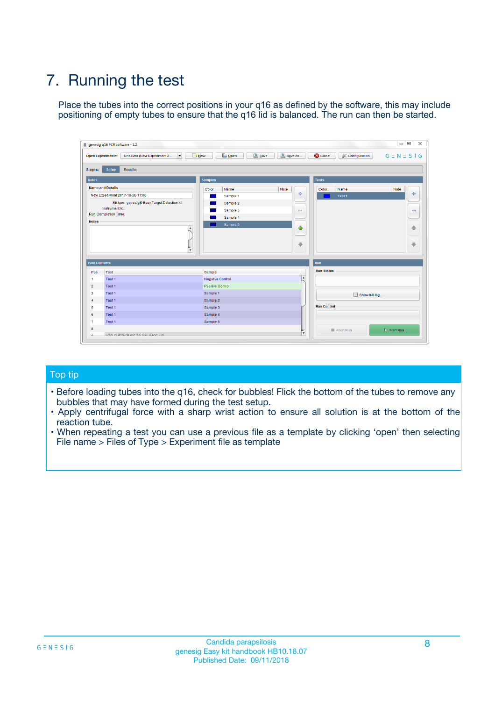# 7. Running the test

Place the tubes into the correct positions in your q16 as defined by the software, this may include positioning of empty tubes to ensure that the q16 lid is balanced. The run can then be started.

| genesig q16 PCR software - 1.2                                               |                                     | $\Box$                                                                                  |
|------------------------------------------------------------------------------|-------------------------------------|-----------------------------------------------------------------------------------------|
| Unsaved (New Experiment 2<br>$\vert \cdot \vert$<br><b>Open Experiments:</b> | <b>D</b> Open<br>Save<br>$\Box$ New | Save As<br><b>C</b> Close<br>$G \equiv N \equiv S \mid G$<br><b>&amp; Configuration</b> |
| Setup<br><b>Results</b><br><b>Stages:</b>                                    |                                     |                                                                                         |
| <b>Notes</b>                                                                 | Samples                             | <b>Tests</b>                                                                            |
| <b>Name and Details</b>                                                      | Color<br>Name                       | Note<br>Color<br>Note<br>Name                                                           |
| New Experiment 2017-10-26 11:06                                              | Sample 1                            | ع<br>条<br>Test 1                                                                        |
| Kit type: genesig® Easy Target Detection kit                                 | Sample 2                            |                                                                                         |
| Instrument Id.:                                                              | Sample 3                            | $\qquad \qquad \blacksquare$<br>$\qquad \qquad \blacksquare$                            |
| Run Completion Time:                                                         | Sample 4                            |                                                                                         |
| <b>Notes</b>                                                                 | Sample 5<br>A<br>v                  | $\triangle$<br>4<br>$\oplus$<br>₩                                                       |
| <b>Well Contents</b>                                                         |                                     | <b>Run</b>                                                                              |
| Pos.<br>Test                                                                 | Sample                              | <b>Run Status</b>                                                                       |
| Test 1<br>-1                                                                 | <b>Negative Control</b>             | $\blacktriangle$                                                                        |
| $\overline{2}$<br>Test 1                                                     | <b>Positive Control</b>             |                                                                                         |
| $\overline{\mathbf{3}}$<br>Test 1                                            | Sample 1                            | Show full log                                                                           |
| Test 1<br>$\overline{4}$                                                     | Sample 2                            |                                                                                         |
| 5<br>Test 1                                                                  | Sample 3                            | <b>Run Control</b>                                                                      |
| 6<br>Test 1                                                                  | Sample 4                            |                                                                                         |
| $\overline{7}$<br>Test 1                                                     | Sample 5                            |                                                                                         |
| 8                                                                            |                                     | $\triangleright$ Start Run<br>Abort Run                                                 |
| <b>JOD FURTY TUDE TO BUILDED IN</b>                                          |                                     | $\overline{\mathbf{v}}$                                                                 |

#### Top tip

- Before loading tubes into the q16, check for bubbles! Flick the bottom of the tubes to remove any bubbles that may have formed during the test setup.
- Apply centrifugal force with a sharp wrist action to ensure all solution is at the bottom of the reaction tube.
- When repeating a test you can use a previous file as a template by clicking 'open' then selecting File name > Files of Type > Experiment file as template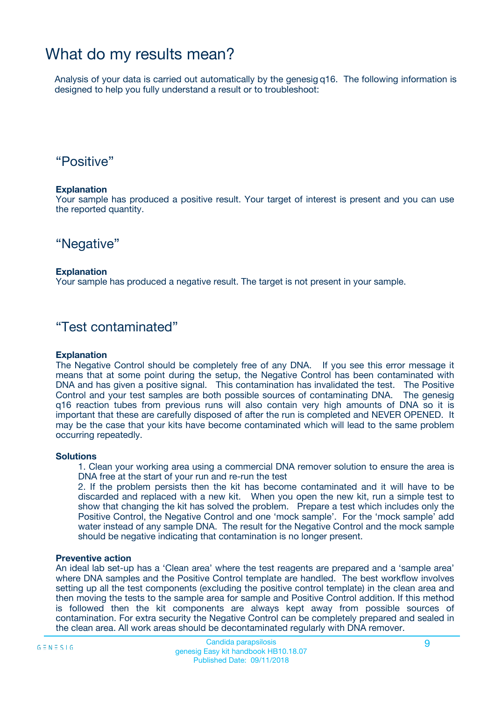### What do my results mean?

Analysis of your data is carried out automatically by the genesig q16. The following information is designed to help you fully understand a result or to troubleshoot:

### "Positive"

#### **Explanation**

Your sample has produced a positive result. Your target of interest is present and you can use the reported quantity.

"Negative"

#### **Explanation**

Your sample has produced a negative result. The target is not present in your sample.

### "Test contaminated"

#### **Explanation**

The Negative Control should be completely free of any DNA. If you see this error message it means that at some point during the setup, the Negative Control has been contaminated with DNA and has given a positive signal. This contamination has invalidated the test. The Positive Control and your test samples are both possible sources of contaminating DNA. The genesig q16 reaction tubes from previous runs will also contain very high amounts of DNA so it is important that these are carefully disposed of after the run is completed and NEVER OPENED. It may be the case that your kits have become contaminated which will lead to the same problem occurring repeatedly.

#### **Solutions**

1. Clean your working area using a commercial DNA remover solution to ensure the area is DNA free at the start of your run and re-run the test

2. If the problem persists then the kit has become contaminated and it will have to be discarded and replaced with a new kit. When you open the new kit, run a simple test to show that changing the kit has solved the problem. Prepare a test which includes only the Positive Control, the Negative Control and one 'mock sample'. For the 'mock sample' add water instead of any sample DNA. The result for the Negative Control and the mock sample should be negative indicating that contamination is no longer present.

#### **Preventive action**

An ideal lab set-up has a 'Clean area' where the test reagents are prepared and a 'sample area' where DNA samples and the Positive Control template are handled. The best workflow involves setting up all the test components (excluding the positive control template) in the clean area and then moving the tests to the sample area for sample and Positive Control addition. If this method is followed then the kit components are always kept away from possible sources of contamination. For extra security the Negative Control can be completely prepared and sealed in the clean area. All work areas should be decontaminated regularly with DNA remover.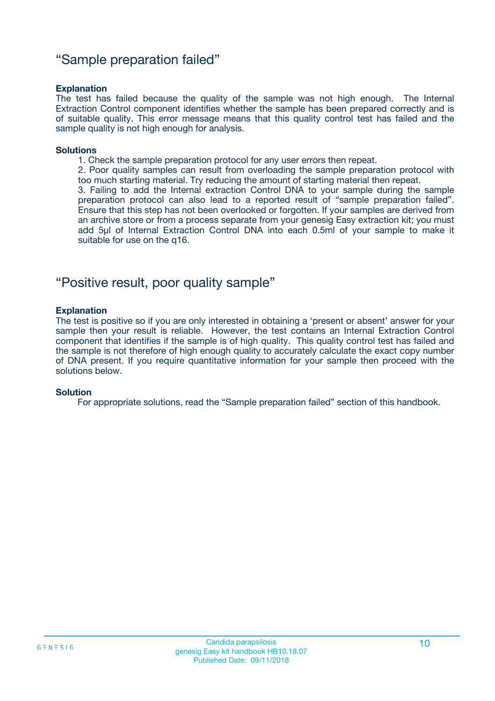### "Sample preparation failed"

#### **Explanation**

The test has failed because the quality of the sample was not high enough. The Internal Extraction Control component identifies whether the sample has been prepared correctly and is of suitable quality. This error message means that this quality control test has failed and the sample quality is not high enough for analysis.

#### **Solutions**

1. Check the sample preparation protocol for any user errors then repeat.

2. Poor quality samples can result from overloading the sample preparation protocol with too much starting material. Try reducing the amount of starting material then repeat.

3. Failing to add the Internal extraction Control DNA to your sample during the sample preparation protocol can also lead to a reported result of "sample preparation failed". Ensure that this step has not been overlooked or forgotten. If your samples are derived from an archive store or from a process separate from your genesig Easy extraction kit; you must add 5µl of Internal Extraction Control DNA into each 0.5ml of your sample to make it suitable for use on the q16.

### "Positive result, poor quality sample"

#### **Explanation**

The test is positive so if you are only interested in obtaining a 'present or absent' answer for your sample then your result is reliable. However, the test contains an Internal Extraction Control component that identifies if the sample is of high quality. This quality control test has failed and the sample is not therefore of high enough quality to accurately calculate the exact copy number of DNA present. If you require quantitative information for your sample then proceed with the solutions below.

#### **Solution**

For appropriate solutions, read the "Sample preparation failed" section of this handbook.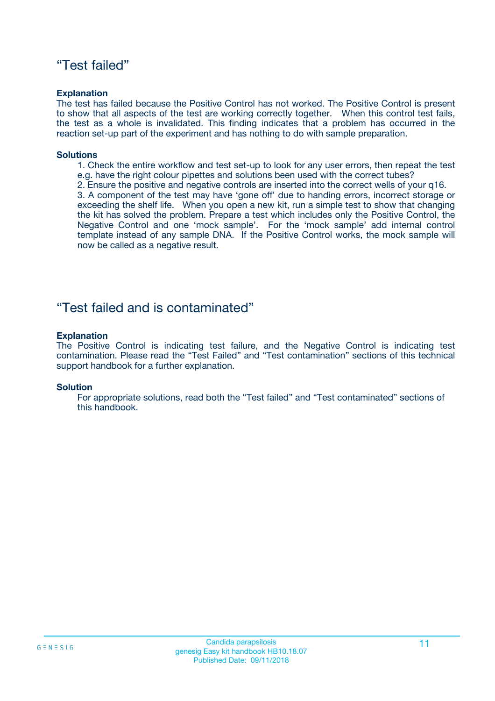### "Test failed"

#### **Explanation**

The test has failed because the Positive Control has not worked. The Positive Control is present to show that all aspects of the test are working correctly together. When this control test fails, the test as a whole is invalidated. This finding indicates that a problem has occurred in the reaction set-up part of the experiment and has nothing to do with sample preparation.

#### **Solutions**

- 1. Check the entire workflow and test set-up to look for any user errors, then repeat the test e.g. have the right colour pipettes and solutions been used with the correct tubes?
- 2. Ensure the positive and negative controls are inserted into the correct wells of your q16.

3. A component of the test may have 'gone off' due to handing errors, incorrect storage or exceeding the shelf life. When you open a new kit, run a simple test to show that changing the kit has solved the problem. Prepare a test which includes only the Positive Control, the Negative Control and one 'mock sample'. For the 'mock sample' add internal control template instead of any sample DNA. If the Positive Control works, the mock sample will now be called as a negative result.

### "Test failed and is contaminated"

#### **Explanation**

The Positive Control is indicating test failure, and the Negative Control is indicating test contamination. Please read the "Test Failed" and "Test contamination" sections of this technical support handbook for a further explanation.

#### **Solution**

For appropriate solutions, read both the "Test failed" and "Test contaminated" sections of this handbook.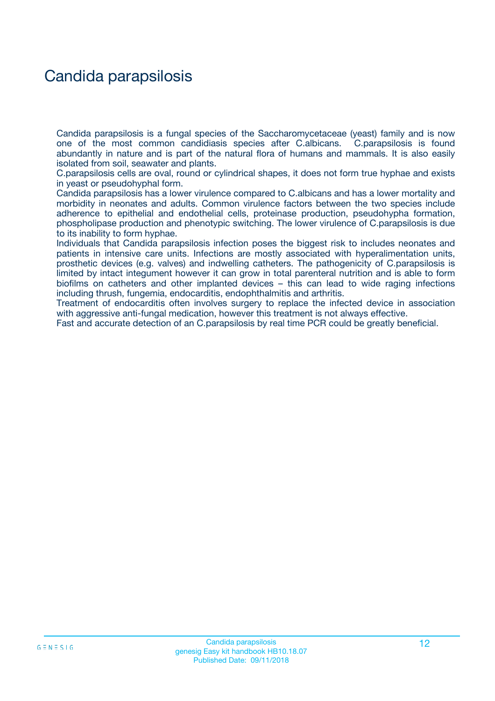## Candida parapsilosis

Candida parapsilosis is a fungal species of the Saccharomycetaceae (yeast) family and is now one of the most common candidiasis species after C.albicans. C.parapsilosis is found abundantly in nature and is part of the natural flora of humans and mammals. It is also easily isolated from soil, seawater and plants.

C.parapsilosis cells are oval, round or cylindrical shapes, it does not form true hyphae and exists in yeast or pseudohyphal form.

Candida parapsilosis has a lower virulence compared to C.albicans and has a lower mortality and morbidity in neonates and adults. Common virulence factors between the two species include adherence to epithelial and endothelial cells, proteinase production, pseudohypha formation, phospholipase production and phenotypic switching. The lower virulence of C.parapsilosis is due to its inability to form hyphae.

Individuals that Candida parapsilosis infection poses the biggest risk to includes neonates and patients in intensive care units. Infections are mostly associated with hyperalimentation units, prosthetic devices (e.g. valves) and indwelling catheters. The pathogenicity of C.parapsilosis is limited by intact integument however it can grow in total parenteral nutrition and is able to form biofilms on catheters and other implanted devices – this can lead to wide raging infections including thrush, fungemia, endocarditis, endophthalmitis and arthritis.

Treatment of endocarditis often involves surgery to replace the infected device in association with aggressive anti-fungal medication, however this treatment is not always effective.

Fast and accurate detection of an C.parapsilosis by real time PCR could be greatly beneficial.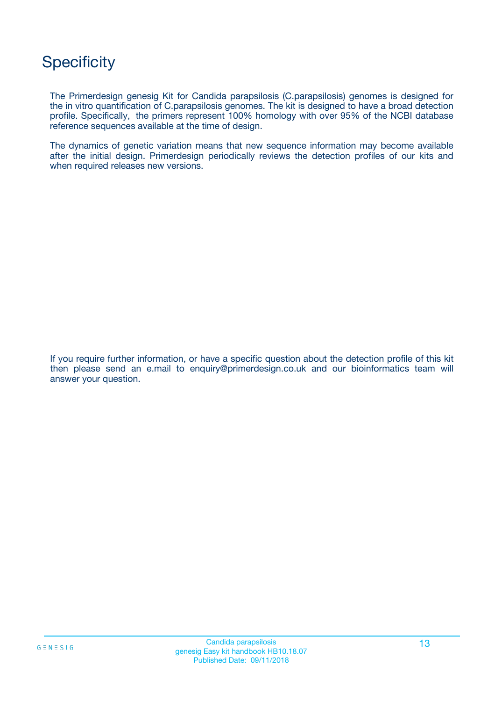## **Specificity**

The Primerdesign genesig Kit for Candida parapsilosis (C.parapsilosis) genomes is designed for the in vitro quantification of C.parapsilosis genomes. The kit is designed to have a broad detection profile. Specifically, the primers represent 100% homology with over 95% of the NCBI database reference sequences available at the time of design.

The dynamics of genetic variation means that new sequence information may become available after the initial design. Primerdesign periodically reviews the detection profiles of our kits and when required releases new versions.

If you require further information, or have a specific question about the detection profile of this kit then please send an e.mail to enquiry@primerdesign.co.uk and our bioinformatics team will answer your question.